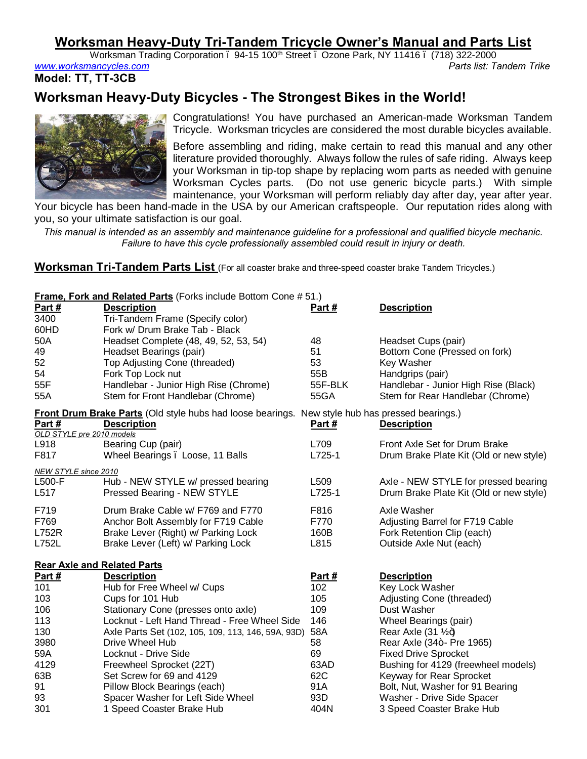# **Worksman Heavy-Duty Tri-Tandem Tricycle Owner's Manual and Parts List**

Worksman Trading Corporation . 94-15 100<sup>th</sup> Street . Ozone Park, NY 11416 . (718) 322-2000 *www.worksmancycles.com Parts list: Tandem Trike*

**Model: TT, TT-3CB**

# **Worksman Heavy-Duty Bicycles - The Strongest Bikes in the World!**



Congratulations! You have purchased an American-made Worksman Tandem Tricycle. Worksman tricycles are considered the most durable bicycles available.

Before assembling and riding, make certain to read this manual and any other literature provided thoroughly. Always follow the rules of safe riding. Always keep your Worksman in tip-top shape by replacing worn parts as needed with genuine Worksman Cycles parts. (Do not use generic bicycle parts.) With simple maintenance, your Worksman will perform reliably day after day, year after year.

Your bicycle has been hand-made in the USA by our American craftspeople. Our reputation rides along with you, so your ultimate satisfaction is our goal.

*This manual is intended as an assembly and maintenance guideline for a professional and qualified bicycle mechanic. Failure to have this cycle professionally assembled could result in injury or death.*

**Worksman Tri-Tandem Parts List** (For all coaster brake and three-speed coaster brake Tandem Tricycles.)

| <b>Frame, Fork and Related Parts</b> (Forks include Bottom Cone # 51.) |                                                                                                        |               |                                                          |  |
|------------------------------------------------------------------------|--------------------------------------------------------------------------------------------------------|---------------|----------------------------------------------------------|--|
| Part #                                                                 | <b>Description</b>                                                                                     | <u>Part #</u> | <b>Description</b>                                       |  |
| 3400                                                                   | Tri-Tandem Frame (Specify color)                                                                       |               |                                                          |  |
| 60HD                                                                   | Fork w/ Drum Brake Tab - Black                                                                         |               |                                                          |  |
| 50A                                                                    | Headset Complete (48, 49, 52, 53, 54)                                                                  | 48<br>51      | Headset Cups (pair)                                      |  |
| 49<br>52                                                               | Headset Bearings (pair)<br>Top Adjusting Cone (threaded)                                               | 53            | Bottom Cone (Pressed on fork)<br>Key Washer              |  |
| 54                                                                     | Fork Top Lock nut                                                                                      | 55B           | Handgrips (pair)                                         |  |
| 55F                                                                    | Handlebar - Junior High Rise (Chrome)                                                                  | 55F-BLK       | Handlebar - Junior High Rise (Black)                     |  |
| 55A                                                                    | Stem for Front Handlebar (Chrome)                                                                      | 55GA          | Stem for Rear Handlebar (Chrome)                         |  |
|                                                                        | <b>Front Drum Brake Parts</b> (Old style hubs had loose bearings. New style hub has pressed bearings.) |               |                                                          |  |
| Part#<br>OLD STYLE pre 2010 models                                     | <b>Description</b>                                                                                     | Part #        | <b>Description</b>                                       |  |
| L918                                                                   | Bearing Cup (pair)                                                                                     | L709          | Front Axle Set for Drum Brake                            |  |
| F817                                                                   | Wheel Bearings . Loose, 11 Balls                                                                       | L725-1        | Drum Brake Plate Kit (Old or new style)                  |  |
| <b>NEW STYLE since 2010</b>                                            |                                                                                                        |               |                                                          |  |
| L500-F                                                                 | Hub - NEW STYLE w/ pressed bearing                                                                     | L509          | Axle - NEW STYLE for pressed bearing                     |  |
| L517                                                                   | Pressed Bearing - NEW STYLE                                                                            | L725-1        | Drum Brake Plate Kit (Old or new style)                  |  |
| F719                                                                   | Drum Brake Cable w/ F769 and F770                                                                      | F816          | Axle Washer                                              |  |
| F769                                                                   | Anchor Bolt Assembly for F719 Cable                                                                    | F770          | Adjusting Barrel for F719 Cable                          |  |
| <b>L752R</b>                                                           | Brake Lever (Right) w/ Parking Lock                                                                    | 160B          | Fork Retention Clip (each)                               |  |
| L752L                                                                  | Brake Lever (Left) w/ Parking Lock                                                                     | L815          | Outside Axle Nut (each)                                  |  |
|                                                                        | <b>Rear Axle and Related Parts</b>                                                                     |               |                                                          |  |
| Part #                                                                 | <b>Description</b>                                                                                     | Part #        | <b>Description</b>                                       |  |
| 101                                                                    | Hub for Free Wheel w/ Cups                                                                             | 102           | Key Lock Washer                                          |  |
| 103                                                                    | Cups for 101 Hub                                                                                       | 105           | Adjusting Cone (threaded)                                |  |
| 106                                                                    | Stationary Cone (presses onto axle)                                                                    | 109           | Dust Washer                                              |  |
| 113                                                                    | Locknut - Left Hand Thread - Free Wheel Side                                                           | 146           | Wheel Bearings (pair)                                    |  |
| 130<br>3980                                                            | Axle Parts Set (102, 105, 109, 113, 146, 59A, 93D)<br>Drive Wheel Hub                                  | 58A<br>58     | Rear Axle $(31 \frac{1}{4})$                             |  |
| 59A                                                                    | Locknut - Drive Side                                                                                   | 69            | Rear Axle (34+- Pre 1965)<br><b>Fixed Drive Sprocket</b> |  |
| 4129                                                                   | Freewheel Sprocket (22T)                                                                               | 63AD          | Bushing for 4129 (freewheel models)                      |  |
| 63B                                                                    | Set Screw for 69 and 4129                                                                              | 62C           | Keyway for Rear Sprocket                                 |  |
| 91                                                                     | Pillow Block Bearings (each)                                                                           | 91A           | Bolt, Nut, Washer for 91 Bearing                         |  |
| 93                                                                     | Spacer Washer for Left Side Wheel                                                                      | 93D           | Washer - Drive Side Spacer                               |  |
| 301                                                                    | 1 Speed Coaster Brake Hub                                                                              | 404N          | 3 Speed Coaster Brake Hub                                |  |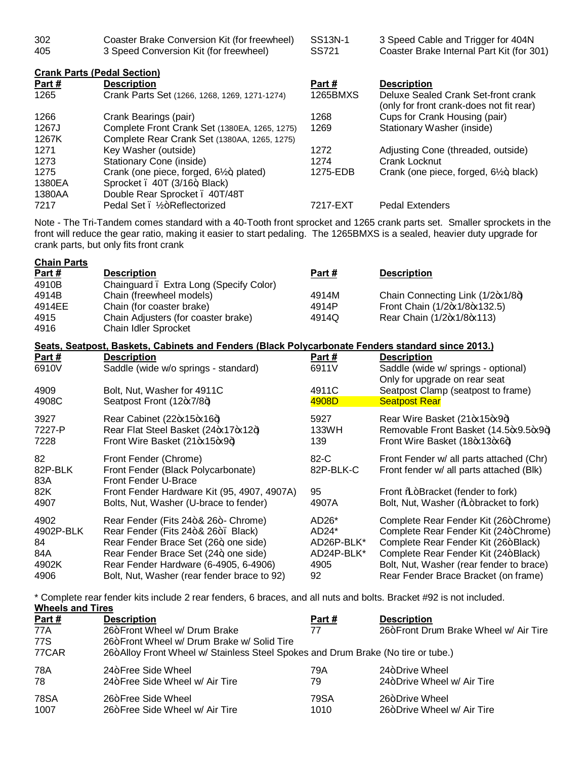| 302 | Coaster Brake Conversion Kit (for freewheel) | SS13N-1 | 3 Speed Cable and Trigger for 404N        |
|-----|----------------------------------------------|---------|-------------------------------------------|
| 405 | 3 Speed Conversion Kit (for freewheel)       | SS721   | Coaster Brake Internal Part Kit (for 301) |

| <b>Crank Parts (Pedal Section)</b> |                                                    |          |                                                                                 |
|------------------------------------|----------------------------------------------------|----------|---------------------------------------------------------------------------------|
| Part #                             | <b>Description</b>                                 | Part #   | <b>Description</b>                                                              |
| 1265                               | Crank Parts Set (1266, 1268, 1269, 1271-1274)      | 1265BMXS | Deluxe Sealed Crank Set-front crank<br>(only for front crank-does not fit rear) |
| 1266                               | Crank Bearings (pair)                              | 1268     | Cups for Crank Housing (pair)                                                   |
| 1267J                              | Complete Front Crank Set (1380EA, 1265, 1275)      | 1269     | Stationary Washer (inside)                                                      |
| 1267K                              | Complete Rear Crank Set (1380AA, 1265, 1275)       |          |                                                                                 |
| 1271                               | Key Washer (outside)                               | 1272     | Adjusting Cone (threaded, outside)                                              |
| 1273                               | Stationary Cone (inside)                           | 1274     | Crank Locknut                                                                   |
| 1275                               | Crank (one piece, forged, $6\frac{1}{2}$ , plated) | 1275-EDB | Crank (one piece, forged, 6½+, black)                                           |
| 1380EA                             | Sprocket . 40T (3/16+ Black)                       |          |                                                                                 |
| 1380AA                             | Double Rear Sprocket . 40T/48T                     |          |                                                                                 |
| 7217                               | Pedal Set . 1/2+Reflectorized                      | 7217-EXT | <b>Pedal Extenders</b>                                                          |

Note - The Tri-Tandem comes standard with a 40-Tooth front sprocket and 1265 crank parts set. Smaller sprockets in the front will reduce the gear ratio, making it easier to start pedaling. The 1265BMXS is a sealed, heavier duty upgrade for crank parts, but only fits front crank

| <b>Chain Parts</b> |                                                                                                   |                    |                                                                           |
|--------------------|---------------------------------------------------------------------------------------------------|--------------------|---------------------------------------------------------------------------|
| Part $#$<br>4910B  | <b>Description</b><br>Chainguard. Extra Long (Specify Color)                                      | <u>Part #</u>      | <b>Description</b>                                                        |
| 4914B              | Chain (freewheel models)                                                                          | 4914M              | Chain Connecting Link (1/2+x1/8+)                                         |
| 4914EE             | Chain (for coaster brake)                                                                         | 4914P              | Front Chain (1/2+x1/8+x132.5)                                             |
| 4915<br>4916       | Chain Adjusters (for coaster brake)<br>Chain Idler Sprocket                                       | 4914Q              | Rear Chain (1/2+x1/8+x113)                                                |
|                    | Seats, Seatpost, Baskets, Cabinets and Fenders (Black Polycarbonate Fenders standard since 2013.) |                    |                                                                           |
| Part $#$           | <b>Description</b>                                                                                | Part #             | <b>Description</b>                                                        |
| 6910V              | Saddle (wide w/o springs - standard)                                                              | 6911V              | Saddle (wide w/ springs - optional)<br>Only for upgrade on rear seat      |
| 4909               | Bolt, Nut, Washer for 4911C                                                                       | 4911C              | Seatpost Clamp (seatpost to frame)                                        |
| 4908C              | Seatpost Front (12+x7/8+)                                                                         | 4908D              | <b>Seatpost Rear</b>                                                      |
| 3927               | Rear Cabinet (22+x15+x16+)                                                                        | 5927               | Rear Wire Basket (21+x15+x9+)                                             |
| 7227-P             | Rear Flat Steel Basket (24+x17+x12+)                                                              | 133WH              | Removable Front Basket (14.5-x9.5-x9+)                                    |
| 7228               | Front Wire Basket (21 x 15 x 9 +)                                                                 | 139                | Front Wire Basket (18+x13+x6+)                                            |
| 82                 | Front Fender (Chrome)                                                                             | $82-C$             | Front Fender w/ all parts attached (Chr)                                  |
| 82P-BLK            | Front Fender (Black Polycarbonate)                                                                | 82P-BLK-C          | Front fender w/ all parts attached (Blk)                                  |
| 83A<br>82K         | <b>Front Fender U-Brace</b><br>Front Fender Hardware Kit (95, 4907, 4907A)                        | 95                 |                                                                           |
| 4907               | Bolts, Nut, Washer (U-brace to fender)                                                            | 4907A              | Front % Bracket (fender to fork)<br>Bolt, Nut, Washer (‰+bracket to fork) |
|                    |                                                                                                   |                    |                                                                           |
| 4902               | Rear Fender (Fits 24+& 26+- Chrome)                                                               | AD <sub>26</sub> * | Complete Rear Fender Kit (26+Chrome)                                      |
| 4902P-BLK          | Rear Fender (Fits 24+& 26+. Black)                                                                | AD <sub>24</sub> * | Complete Rear Fender Kit (24+Chrome)                                      |
| 84                 | Rear Fender Brace Set (26+, one side)                                                             | AD26P-BLK*         | Complete Rear Fender Kit (26+Black)                                       |
| 84A                | Rear Fender Brace Set (24+, one side)                                                             | AD24P-BLK*         | Complete Rear Fender Kit (24+Black)                                       |
| 4902K              | Rear Fender Hardware (6-4905, 6-4906)                                                             | 4905               | Bolt, Nut, Washer (rear fender to brace)                                  |
| 4906               | Bolt, Nut, Washer (rear fender brace to 92)                                                       | 92                 | Rear Fender Brace Bracket (on frame)                                      |

\* Complete rear fender kits include 2 rear fenders, 6 braces, and all nuts and bolts. Bracket #92 is not included. **Wheels and Tires**

| Part #      | <b>Description</b>                                                               | Part# | <b>Description</b>                    |  |
|-------------|----------------------------------------------------------------------------------|-------|---------------------------------------|--|
| 77A         | 26+Front Wheel w/ Drum Brake                                                     | 77    | 26+Front Drum Brake Wheel w/ Air Tire |  |
| 77S         | 26+Front Wheel w/ Drum Brake w/ Solid Tire                                       |       |                                       |  |
| 77CAR       | 26+Alloy Front Wheel w/ Stainless Steel Spokes and Drum Brake (No tire or tube.) |       |                                       |  |
| 78A         | 24+Free Side Wheel                                                               | 79A   | 24+Drive Wheel                        |  |
| 78          | 24+Free Side Wheel w/ Air Tire                                                   | 79    | 24+Drive Wheel w/ Air Tire            |  |
| <b>78SA</b> | 26+Free Side Wheel                                                               | 79SA  | 26+Drive Wheel                        |  |
| 1007        | 26+Free Side Wheel w/ Air Tire                                                   | 1010  | 26+Drive Wheel w/ Air Tire            |  |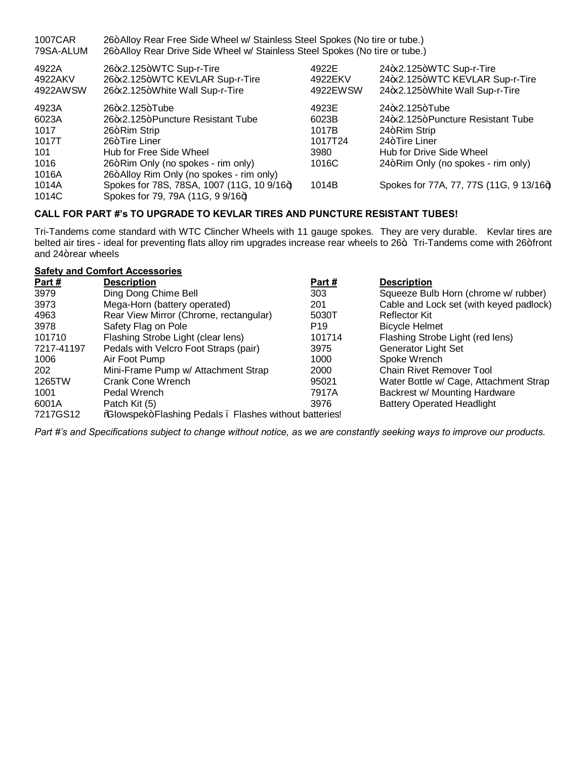| 1007CAR<br>79SA-ALUM         | 26+Alloy Rear Free Side Wheel w/ Stainless Steel Spokes (No tire or tube.)<br>26+Alloy Rear Drive Side Wheel w/ Stainless Steel Spokes (No tire or tube.) |                              |                                                                                                |
|------------------------------|-----------------------------------------------------------------------------------------------------------------------------------------------------------|------------------------------|------------------------------------------------------------------------------------------------|
| 4922A<br>4922AKV<br>4922AWSW | 26+x2.125+WTC Sup-r-Tire<br>26+x2.125+WTC KEVLAR Sup-r-Tire<br>26+x2.125+White Wall Sup-r-Tire                                                            | 4922E<br>4922EKV<br>4922EWSW | 24+x2.125+WTC Sup-r-Tire<br>24+x2.125+WTC KEVLAR Sup-r-Tire<br>24+x2.125+White Wall Sup-r-Tire |
| 4923A                        | 26+x2.125+Tube                                                                                                                                            | 4923E                        | 24 $\star$ 2.125+Tube                                                                          |
| 6023A                        | 26+x2.125+Puncture Resistant Tube                                                                                                                         | 6023B                        | 24 $\star$ 2.125+Puncture Resistant Tube                                                       |
| 1017                         | 26+Rim Strip                                                                                                                                              | 1017B                        | 24+Rim Strip                                                                                   |
| 1017T                        | 26+Tire Liner                                                                                                                                             | 1017T24                      | 24+Tire Liner                                                                                  |
| 101                          | Hub for Free Side Wheel                                                                                                                                   | 3980                         | Hub for Drive Side Wheel                                                                       |
| 1016                         | 26+Rim Only (no spokes - rim only)                                                                                                                        | 1016C                        | 24+Rim Only (no spokes - rim only)                                                             |
| 1016A                        | 26+Alloy Rim Only (no spokes - rim only)                                                                                                                  |                              |                                                                                                |
| 1014A                        | Spokes for 78S, 78SA, 1007 (11G, 10 9/16+)                                                                                                                | 1014B                        | Spokes for 77A, 77, 77S (11G, 9 13/16+)                                                        |
| 1014C                        | Spokes for 79, 79A (11G, 9 9/16+)                                                                                                                         |                              |                                                                                                |

### **CALL FOR PART #'s TO UPGRADE TO KEVLAR TIRES AND PUNCTURE RESISTANT TUBES!**

Tri-Tandems come standard with WTC Clincher Wheels with 11 gauge spokes. They are very durable. Kevlar tires are belted air tires - ideal for preventing flats alloy rim upgrades increase rear wheels to 26+. Tri-Tandems come with 26+front and 24+ rear wheels

| <b>Safety and Comfort Accessories</b> |                                                        |                 |                                         |
|---------------------------------------|--------------------------------------------------------|-----------------|-----------------------------------------|
| Part $#$                              | <b>Description</b>                                     | Part #          | <b>Description</b>                      |
| 3979                                  | Ding Dong Chime Bell                                   | 303             | Squeeze Bulb Horn (chrome w/ rubber)    |
| 3973                                  | Mega-Horn (battery operated)                           | 201             | Cable and Lock set (with keyed padlock) |
| 4963                                  | Rear View Mirror (Chrome, rectangular)                 | 5030T           | <b>Reflector Kit</b>                    |
| 3978                                  | Safety Flag on Pole                                    | P <sub>19</sub> | <b>Bicycle Helmet</b>                   |
| 101710                                | Flashing Strobe Light (clear lens)                     | 101714          | Flashing Strobe Light (red lens)        |
| 7217-41197                            | Pedals with Velcro Foot Straps (pair)                  | 3975            | Generator Light Set                     |
| 1006                                  | Air Foot Pump                                          | 1000            | Spoke Wrench                            |
| 202                                   | Mini-Frame Pump w/ Attachment Strap                    | 2000            | <b>Chain Rivet Remover Tool</b>         |
| 1265TW                                | Crank Cone Wrench                                      | 95021           | Water Bottle w/ Cage, Attachment Strap  |
| 1001                                  | Pedal Wrench                                           | 7917A           | Backrest w/ Mounting Hardware           |
| 6001A                                 | Patch Kit (5)                                          | 3976            | <b>Battery Operated Headlight</b>       |
| 7217GS12                              | %Glowspek+Flashing Pedals . Flashes without batteries! |                 |                                         |

*Part #'s and Specifications subject to change without notice, as we are constantly seeking ways to improve our products.*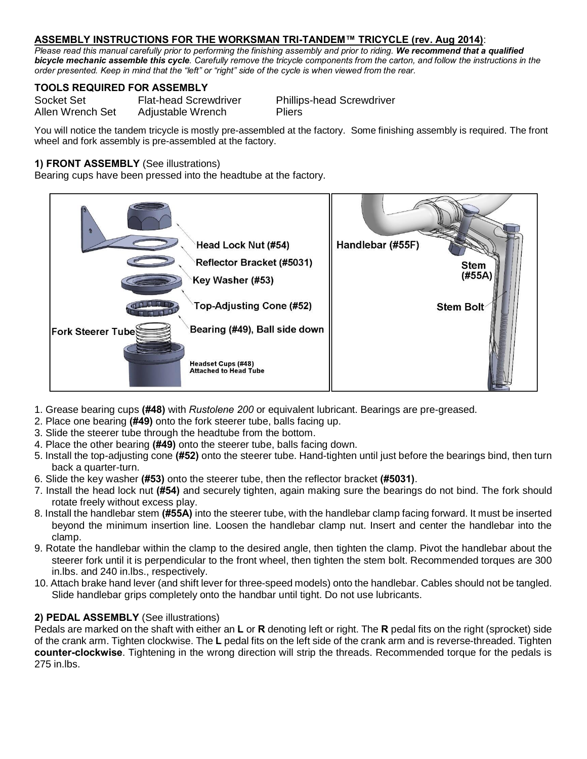# **ASSEMBLY INSTRUCTIONS FOR THE WORKSMAN TRI-TANDEM™ TRICYCLE (rev. Aug 2014)**:

*Please read this manual carefully prior to performing the finishing assembly and prior to riding. We recommend that a qualified bicycle mechanic assemble this cycle. Carefully remove the tricycle components from the carton, and follow the instructions in the order presented. Keep in mind that the "left" or "right" side of the cycle is when viewed from the rear.* 

### **TOOLS REQUIRED FOR ASSEMBLY**

| Socket Set       | <b>Flat-head Screwdriver</b> | <b>Phillips-head Screwdriver</b> |
|------------------|------------------------------|----------------------------------|
| Allen Wrench Set | Adjustable Wrench            | <b>Pliers</b>                    |

You will notice the tandem tricycle is mostly pre-assembled at the factory. Some finishing assembly is required. The front wheel and fork assembly is pre-assembled at the factory.

## **1) FRONT ASSEMBLY** (See illustrations)

Bearing cups have been pressed into the headtube at the factory.



- 1. Grease bearing cups **(#48)** with *Rustolene 200* or equivalent lubricant. Bearings are pre-greased.
- 2. Place one bearing **(#49)** onto the fork steerer tube, balls facing up.
- 3. Slide the steerer tube through the headtube from the bottom.
- 4. Place the other bearing **(#49)** onto the steerer tube, balls facing down.
- 5. Install the top-adjusting cone **(#52)** onto the steerer tube. Hand-tighten until just before the bearings bind, then turn back a quarter-turn.
- 6. Slide the key washer **(#53)** onto the steerer tube, then the reflector bracket **(#5031)**.
- 7. Install the head lock nut **(#54)** and securely tighten, again making sure the bearings do not bind. The fork should rotate freely without excess play.
- 8. Install the handlebar stem **(#55A)** into the steerer tube, with the handlebar clamp facing forward. It must be inserted beyond the minimum insertion line. Loosen the handlebar clamp nut. Insert and center the handlebar into the clamp.
- 9. Rotate the handlebar within the clamp to the desired angle, then tighten the clamp. Pivot the handlebar about the steerer fork until it is perpendicular to the front wheel, then tighten the stem bolt. Recommended torques are 300 in.lbs. and 240 in.lbs., respectively.
- 10. Attach brake hand lever (and shift lever for three-speed models) onto the handlebar. Cables should not be tangled. Slide handlebar grips completely onto the handbar until tight. Do not use lubricants.

# **2) PEDAL ASSEMBLY** (See illustrations)

Pedals are marked on the shaft with either an **L** or **R** denoting left or right. The **R** pedal fits on the right (sprocket) side of the crank arm. Tighten clockwise. The **L** pedal fits on the left side of the crank arm and is reverse-threaded. Tighten **counter-clockwise**. Tightening in the wrong direction will strip the threads. Recommended torque for the pedals is 275 in.lbs.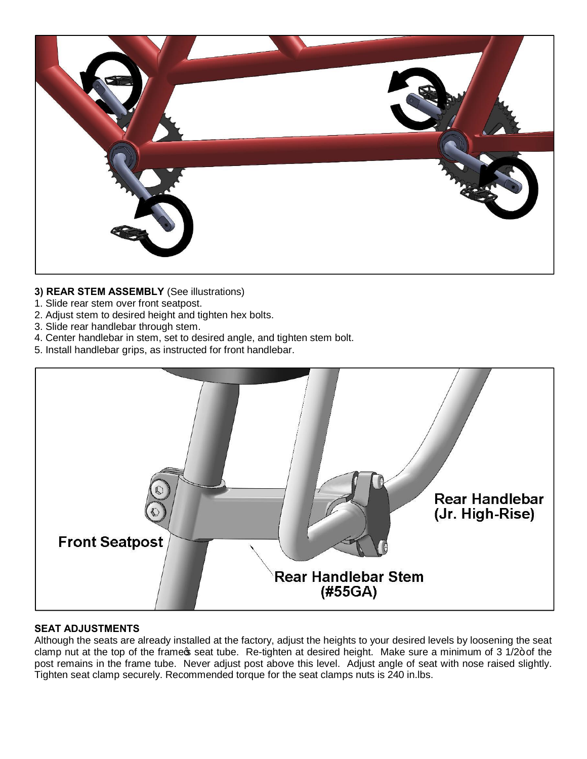

# **3) REAR STEM ASSEMBLY** (See illustrations)

- 1. Slide rear stem over front seatpost.
- 2. Adjust stem to desired height and tighten hex bolts.
- 3. Slide rear handlebar through stem.
- 4. Center handlebar in stem, set to desired angle, and tighten stem bolt.
- 5. Install handlebar grips, as instructed for front handlebar.



# **SEAT ADJUSTMENTS**

Although the seats are already installed at the factory, adjust the heights to your desired levels by loosening the seat clamp nut at the top of the frame seat tube. Re-tighten at desired height. Make sure a minimum of 3 1/2+ of the post remains in the frame tube. Never adjust post above this level. Adjust angle of seat with nose raised slightly. Tighten seat clamp securely. Recommended torque for the seat clamps nuts is 240 in.lbs.